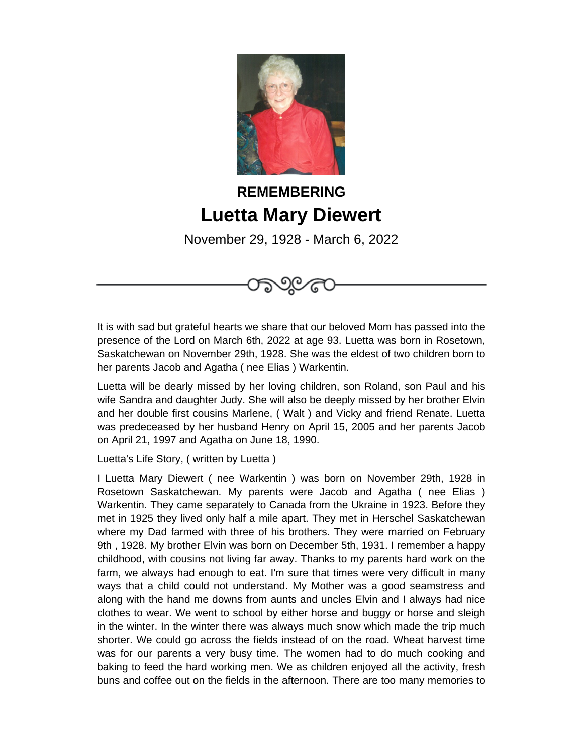

## **REMEMBERING Luetta Mary Diewert**

November 29, 1928 - March 6, 2022



It is with sad but grateful hearts we share that our beloved Mom has passed into the presence of the Lord on March 6th, 2022 at age 93. Luetta was born in Rosetown, Saskatchewan on November 29th, 1928. She was the eldest of two children born to her parents Jacob and Agatha ( nee Elias ) Warkentin.

Luetta will be dearly missed by her loving children, son Roland, son Paul and his wife Sandra and daughter Judy. She will also be deeply missed by her brother Elvin and her double first cousins Marlene, ( Walt ) and Vicky and friend Renate. Luetta was predeceased by her husband Henry on April 15, 2005 and her parents Jacob on April 21, 1997 and Agatha on June 18, 1990.

Luetta's Life Story, ( written by Luetta )

I Luetta Mary Diewert ( nee Warkentin ) was born on November 29th, 1928 in Rosetown Saskatchewan. My parents were Jacob and Agatha ( nee Elias ) Warkentin. They came separately to Canada from the Ukraine in 1923. Before they met in 1925 they lived only half a mile apart. They met in Herschel Saskatchewan where my Dad farmed with three of his brothers. They were married on February 9th , 1928. My brother Elvin was born on December 5th, 1931. I remember a happy childhood, with cousins not living far away. Thanks to my parents hard work on the farm, we always had enough to eat. I'm sure that times were very difficult in many ways that a child could not understand. My Mother was a good seamstress and along with the hand me downs from aunts and uncles Elvin and I always had nice clothes to wear. We went to school by either horse and buggy or horse and sleigh in the winter. In the winter there was always much snow which made the trip much shorter. We could go across the fields instead of on the road. Wheat harvest time was for our parents a very busy time. The women had to do much cooking and baking to feed the hard working men. We as children enjoyed all the activity, fresh buns and coffee out on the fields in the afternoon. There are too many memories to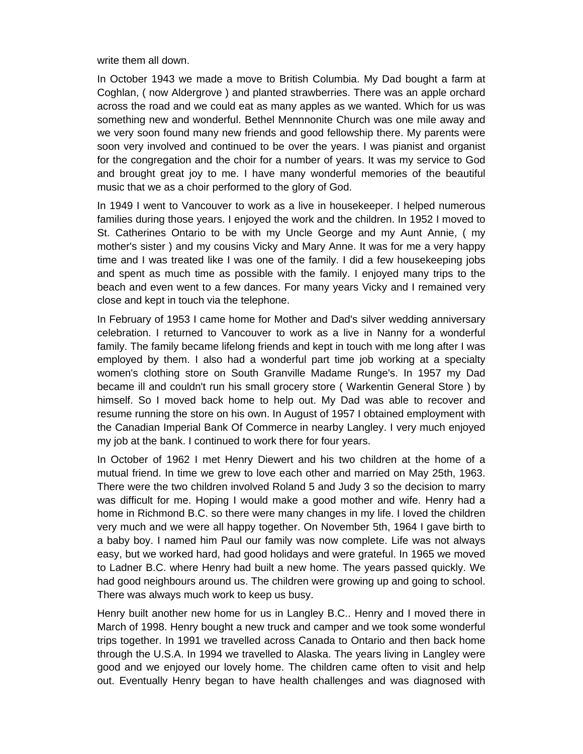write them all down.

In October 1943 we made a move to British Columbia. My Dad bought a farm at Coghlan, ( now Aldergrove ) and planted strawberries. There was an apple orchard across the road and we could eat as many apples as we wanted. Which for us was something new and wonderful. Bethel Mennnonite Church was one mile away and we very soon found many new friends and good fellowship there. My parents were soon very involved and continued to be over the years. I was pianist and organist for the congregation and the choir for a number of years. It was my service to God and brought great joy to me. I have many wonderful memories of the beautiful music that we as a choir performed to the glory of God.

In 1949 I went to Vancouver to work as a live in housekeeper. I helped numerous families during those years. I enjoyed the work and the children. In 1952 I moved to St. Catherines Ontario to be with my Uncle George and my Aunt Annie, ( my mother's sister ) and my cousins Vicky and Mary Anne. It was for me a very happy time and I was treated like I was one of the family. I did a few housekeeping jobs and spent as much time as possible with the family. I enjoyed many trips to the beach and even went to a few dances. For many years Vicky and I remained very close and kept in touch via the telephone.

In February of 1953 I came home for Mother and Dad's silver wedding anniversary celebration. I returned to Vancouver to work as a live in Nanny for a wonderful family. The family became lifelong friends and kept in touch with me long after I was employed by them. I also had a wonderful part time job working at a specialty women's clothing store on South Granville Madame Runge's. In 1957 my Dad became ill and couldn't run his small grocery store ( Warkentin General Store ) by himself. So I moved back home to help out. My Dad was able to recover and resume running the store on his own. In August of 1957 I obtained employment with the Canadian Imperial Bank Of Commerce in nearby Langley. I very much enjoyed my job at the bank. I continued to work there for four years.

In October of 1962 I met Henry Diewert and his two children at the home of a mutual friend. In time we grew to love each other and married on May 25th, 1963. There were the two children involved Roland 5 and Judy 3 so the decision to marry was difficult for me. Hoping I would make a good mother and wife. Henry had a home in Richmond B.C. so there were many changes in my life. I loved the children very much and we were all happy together. On November 5th, 1964 I gave birth to a baby boy. I named him Paul our family was now complete. Life was not always easy, but we worked hard, had good holidays and were grateful. In 1965 we moved to Ladner B.C. where Henry had built a new home. The years passed quickly. We had good neighbours around us. The children were growing up and going to school. There was always much work to keep us busy.

Henry built another new home for us in Langley B.C.. Henry and I moved there in March of 1998. Henry bought a new truck and camper and we took some wonderful trips together. In 1991 we travelled across Canada to Ontario and then back home through the U.S.A. In 1994 we travelled to Alaska. The years living in Langley were good and we enjoyed our lovely home. The children came often to visit and help out. Eventually Henry began to have health challenges and was diagnosed with